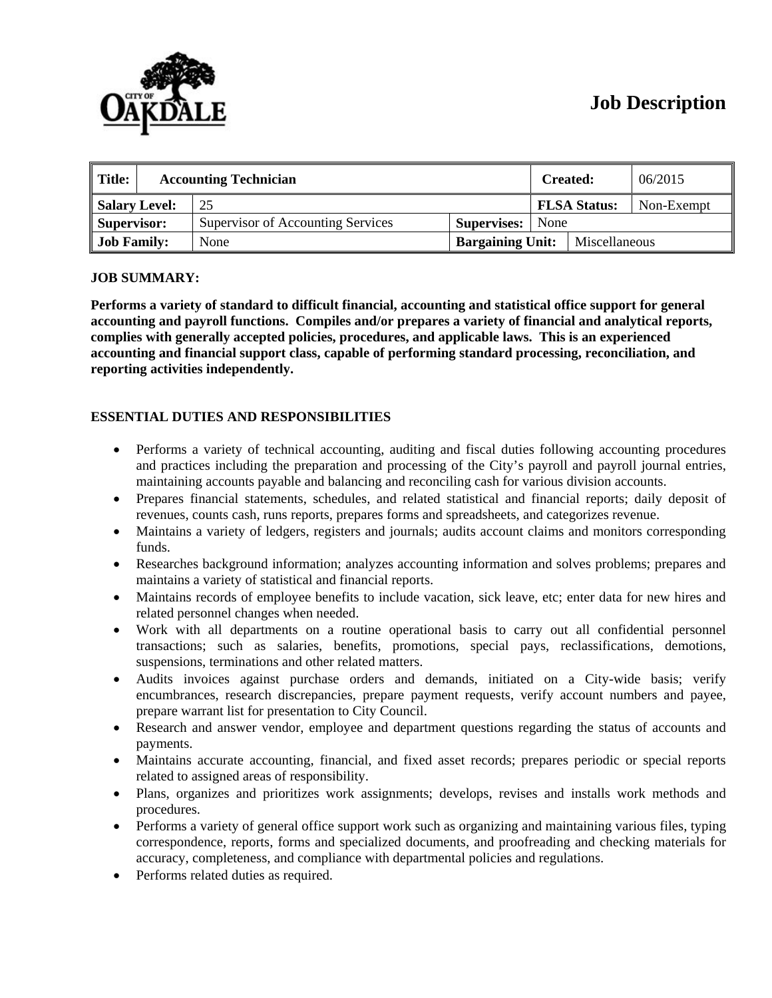

# **Job Description**

| $\parallel$ Title:<br><b>Accounting Technician</b> |  |                                   | <b>Created:</b>         |      | 06/2015             |            |
|----------------------------------------------------|--|-----------------------------------|-------------------------|------|---------------------|------------|
| <b>Salary Level:</b>                               |  | 25                                |                         |      | <b>FLSA Status:</b> | Non-Exempt |
| Supervisor:                                        |  | Supervisor of Accounting Services | Supervises:             | None |                     |            |
| <b>Job Family:</b>                                 |  | None                              | <b>Bargaining Unit:</b> |      | Miscellaneous       |            |

## **JOB SUMMARY:**

**Performs a variety of standard to difficult financial, accounting and statistical office support for general accounting and payroll functions. Compiles and/or prepares a variety of financial and analytical reports, complies with generally accepted policies, procedures, and applicable laws. This is an experienced accounting and financial support class, capable of performing standard processing, reconciliation, and reporting activities independently.** 

## **ESSENTIAL DUTIES AND RESPONSIBILITIES**

- Performs a variety of technical accounting, auditing and fiscal duties following accounting procedures and practices including the preparation and processing of the City's payroll and payroll journal entries, maintaining accounts payable and balancing and reconciling cash for various division accounts.
- Prepares financial statements, schedules, and related statistical and financial reports; daily deposit of revenues, counts cash, runs reports, prepares forms and spreadsheets, and categorizes revenue.
- Maintains a variety of ledgers, registers and journals; audits account claims and monitors corresponding funds.
- Researches background information; analyzes accounting information and solves problems; prepares and maintains a variety of statistical and financial reports.
- Maintains records of employee benefits to include vacation, sick leave, etc; enter data for new hires and related personnel changes when needed.
- Work with all departments on a routine operational basis to carry out all confidential personnel transactions; such as salaries, benefits, promotions, special pays, reclassifications, demotions, suspensions, terminations and other related matters.
- Audits invoices against purchase orders and demands, initiated on a City-wide basis; verify encumbrances, research discrepancies, prepare payment requests, verify account numbers and payee, prepare warrant list for presentation to City Council.
- Research and answer vendor, employee and department questions regarding the status of accounts and payments.
- Maintains accurate accounting, financial, and fixed asset records; prepares periodic or special reports related to assigned areas of responsibility.
- Plans, organizes and prioritizes work assignments; develops, revises and installs work methods and procedures.
- Performs a variety of general office support work such as organizing and maintaining various files, typing correspondence, reports, forms and specialized documents, and proofreading and checking materials for accuracy, completeness, and compliance with departmental policies and regulations.
- Performs related duties as required.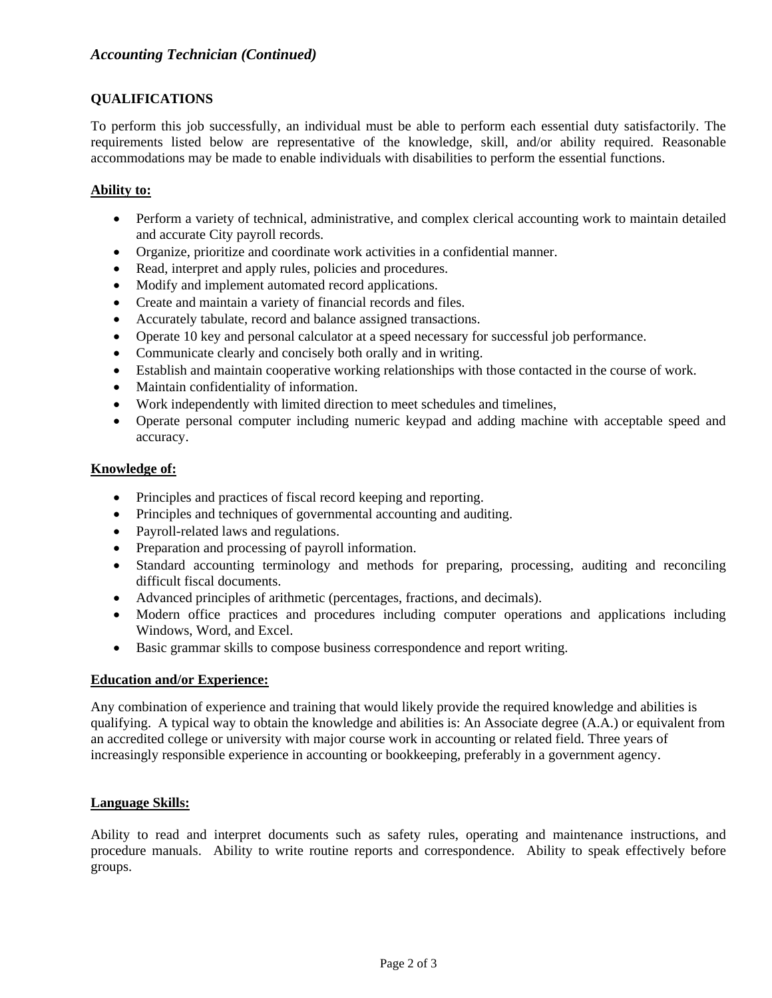# **QUALIFICATIONS**

To perform this job successfully, an individual must be able to perform each essential duty satisfactorily. The requirements listed below are representative of the knowledge, skill, and/or ability required. Reasonable accommodations may be made to enable individuals with disabilities to perform the essential functions.

## **Ability to:**

- Perform a variety of technical, administrative, and complex clerical accounting work to maintain detailed and accurate City payroll records.
- Organize, prioritize and coordinate work activities in a confidential manner.
- Read, interpret and apply rules, policies and procedures.
- Modify and implement automated record applications.
- Create and maintain a variety of financial records and files.
- Accurately tabulate, record and balance assigned transactions.
- Operate 10 key and personal calculator at a speed necessary for successful job performance.
- Communicate clearly and concisely both orally and in writing.
- Establish and maintain cooperative working relationships with those contacted in the course of work.
- Maintain confidentiality of information.
- Work independently with limited direction to meet schedules and timelines,
- Operate personal computer including numeric keypad and adding machine with acceptable speed and accuracy.

## **Knowledge of:**

- Principles and practices of fiscal record keeping and reporting.
- Principles and techniques of governmental accounting and auditing.
- Payroll-related laws and regulations.
- Preparation and processing of payroll information.
- Standard accounting terminology and methods for preparing, processing, auditing and reconciling difficult fiscal documents.
- Advanced principles of arithmetic (percentages, fractions, and decimals).
- Modern office practices and procedures including computer operations and applications including Windows, Word, and Excel.
- Basic grammar skills to compose business correspondence and report writing.

## **Education and/or Experience:**

Any combination of experience and training that would likely provide the required knowledge and abilities is qualifying. A typical way to obtain the knowledge and abilities is: An Associate degree (A.A.) or equivalent from an accredited college or university with major course work in accounting or related field. Three years of increasingly responsible experience in accounting or bookkeeping, preferably in a government agency.

## **Language Skills:**

Ability to read and interpret documents such as safety rules, operating and maintenance instructions, and procedure manuals. Ability to write routine reports and correspondence. Ability to speak effectively before groups.